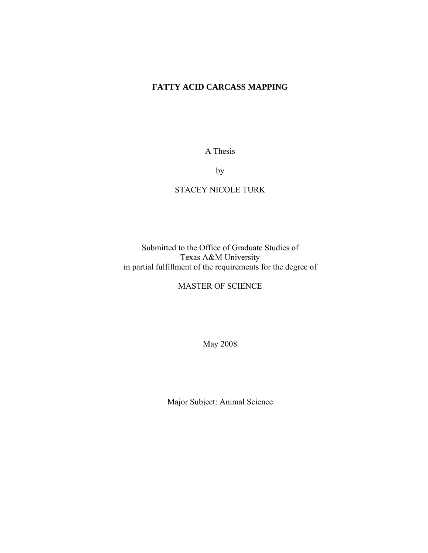# **FATTY ACID CARCASS MAPPING**

A Thesis

by

# STACEY NICOLE TURK

Submitted to the Office of Graduate Studies of Texas A&M University in partial fulfillment of the requirements for the degree of

MASTER OF SCIENCE

May 2008

Major Subject: Animal Science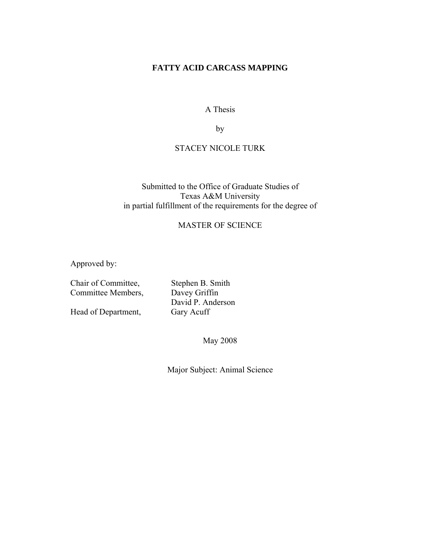# **FATTY ACID CARCASS MAPPING**

# A Thesis

by

# STACEY NICOLE TURK

# Submitted to the Office of Graduate Studies of Texas A&M University in partial fulfillment of the requirements for the degree of

# MASTER OF SCIENCE

Approved by:

Committee Members, Davey Griffin

Head of Department,

Chair of Committee, Stephen B. Smith David P. Anderson<br>Gary Acuff

May 2008

Major Subject: Animal Science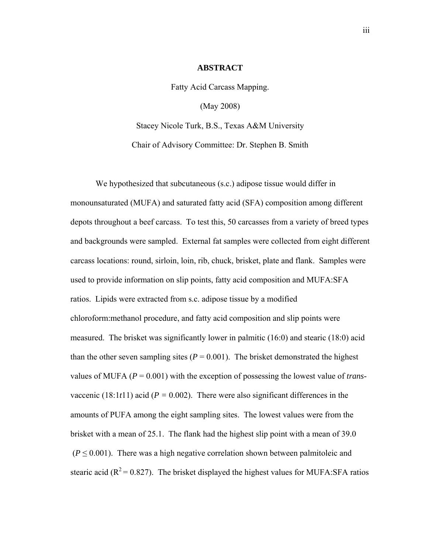#### **ABSTRACT**

Fatty Acid Carcass Mapping.

(May 2008)

Stacey Nicole Turk, B.S., Texas A&M University Chair of Advisory Committee: Dr. Stephen B. Smith

 We hypothesized that subcutaneous (s.c.) adipose tissue would differ in monounsaturated (MUFA) and saturated fatty acid (SFA) composition among different depots throughout a beef carcass. To test this, 50 carcasses from a variety of breed types and backgrounds were sampled. External fat samples were collected from eight different carcass locations: round, sirloin, loin, rib, chuck, brisket, plate and flank. Samples were used to provide information on slip points, fatty acid composition and MUFA:SFA ratios. Lipids were extracted from s.c. adipose tissue by a modified chloroform:methanol procedure, and fatty acid composition and slip points were measured. The brisket was significantly lower in palmitic (16:0) and stearic (18:0) acid than the other seven sampling sites  $(P = 0.001)$ . The brisket demonstrated the highest values of MUFA (*P* = 0.001) with the exception of possessing the lowest value of *trans*vaccenic (18:1 $t$ 11) acid ( $P = 0.002$ ). There were also significant differences in the amounts of PUFA among the eight sampling sites. The lowest values were from the brisket with a mean of 25.1. The flank had the highest slip point with a mean of 39.0  $(P \le 0.001)$ . There was a high negative correlation shown between palmitoleic and stearic acid ( $R^2$  = 0.827). The brisket displayed the highest values for MUFA:SFA ratios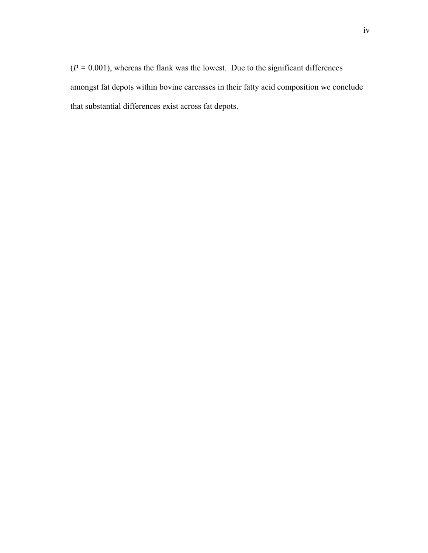$(P = 0.001)$ , whereas the flank was the lowest. Due to the significant differences amongst fat depots within bovine carcasses in their fatty acid composition we conclude that substantial differences exist across fat depots.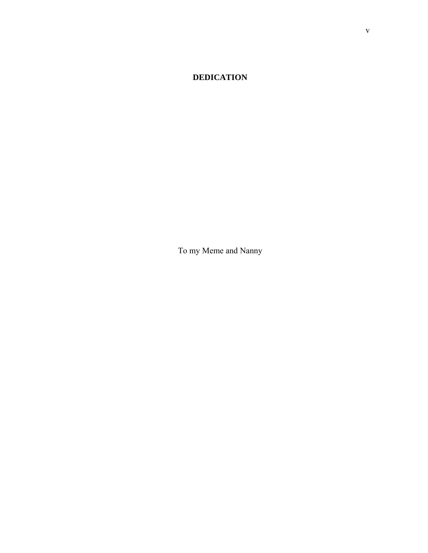# **DEDICATION**

To my Meme and Nanny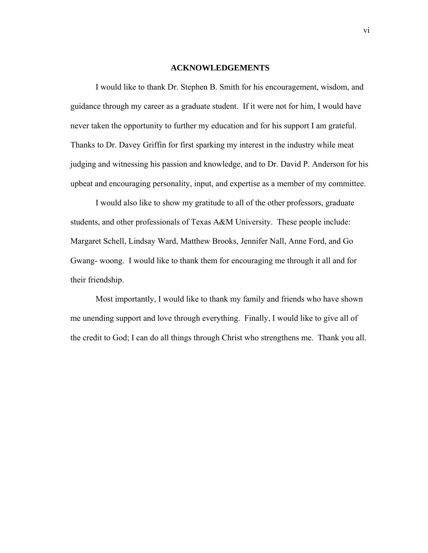#### **ACKNOWLEDGEMENTS**

 I would like to thank Dr. Stephen B. Smith for his encouragement, wisdom, and guidance through my career as a graduate student. If it were not for him, I would have never taken the opportunity to further my education and for his support I am grateful. Thanks to Dr. Davey Griffin for first sparking my interest in the industry while meat judging and witnessing his passion and knowledge, and to Dr. David P. Anderson for his upbeat and encouraging personality, input, and expertise as a member of my committee.

 I would also like to show my gratitude to all of the other professors, graduate students, and other professionals of Texas A&M University. These people include: Margaret Schell, Lindsay Ward, Matthew Brooks, Jennifer Nall, Anne Ford, and Go Gwang- woong. I would like to thank them for encouraging me through it all and for their friendship.

 Most importantly, I would like to thank my family and friends who have shown me unending support and love through everything. Finally, I would like to give all of the credit to God; I can do all things through Christ who strengthens me. Thank you all.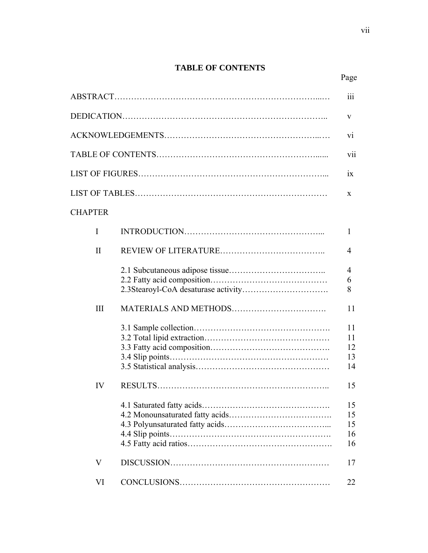# **TABLE OF CONTENTS**  Page **Page**

|                | 111                        |
|----------------|----------------------------|
|                | V                          |
|                | V1                         |
|                | V11                        |
|                | 1X                         |
|                | X                          |
| <b>CHAPTER</b> |                            |
| I              | 1                          |
| $\mathbf{I}$   | 4                          |
|                | $\overline{4}$<br>6        |
|                | 8                          |
| III            | 11                         |
|                | 11<br>11<br>12<br>13<br>14 |
| IV             | 15                         |
|                | 15<br>15<br>15<br>16<br>16 |
| V              | 17                         |
| VI             | 22                         |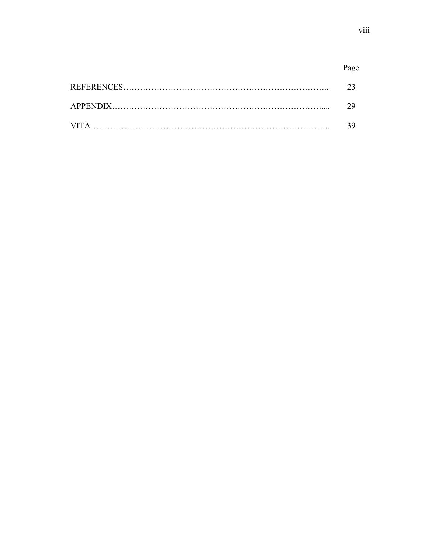# Page

| 23  |
|-----|
| 29. |
| 39. |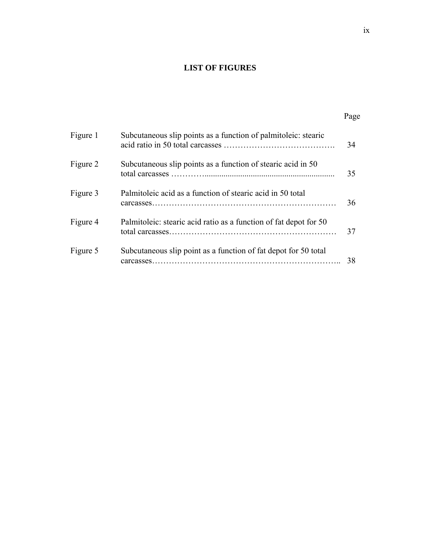# **LIST OF FIGURES**

Page **Page** 

| Figure 1 | Subcutaneous slip points as a function of palmitoleic: stearic    | 34 |
|----------|-------------------------------------------------------------------|----|
| Figure 2 | Subcutaneous slip points as a function of stearic acid in 50      | 35 |
| Figure 3 | Palmitoleic acid as a function of stearic acid in 50 total        | 36 |
| Figure 4 | Palmitoleic: stearic acid ratio as a function of fat depot for 50 | 37 |
| Figure 5 | Subcutaneous slip point as a function of fat depot for 50 total   | 38 |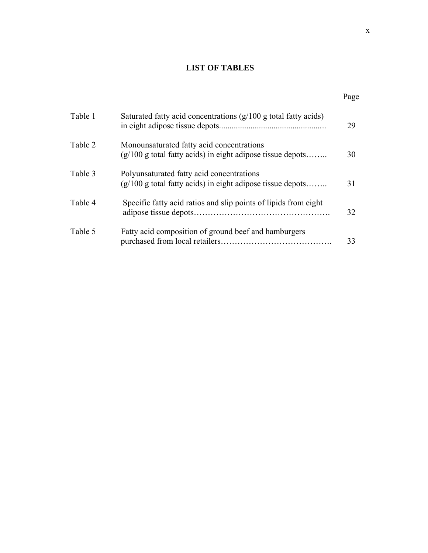# **LIST OF TABLES**

#### Page **Page**

| Table 1 | Saturated fatty acid concentrations $(g/100 g)$ total fatty acids)                                         | 29 |
|---------|------------------------------------------------------------------------------------------------------------|----|
| Table 2 | Monounsaturated fatty acid concentrations<br>$(g/100)$ g total fatty acids) in eight adipose tissue depots | 30 |
| Table 3 | Polyunsaturated fatty acid concentrations<br>$(g/100 g$ total fatty acids) in eight adipose tissue depots  | 31 |
| Table 4 | Specific fatty acid ratios and slip points of lipids from eight                                            | 32 |
| Table 5 | Fatty acid composition of ground beef and hamburgers                                                       | 33 |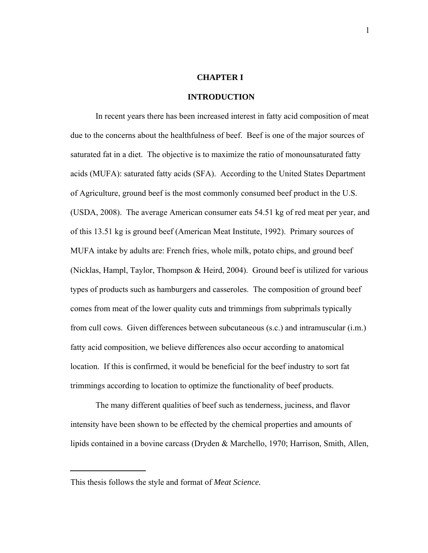# **CHAPTER I**

## **INTRODUCTION**

In recent years there has been increased interest in fatty acid composition of meat due to the concerns about the healthfulness of beef. Beef is one of the major sources of saturated fat in a diet. The objective is to maximize the ratio of monounsaturated fatty acids (MUFA): saturated fatty acids (SFA). According to the United States Department of Agriculture, ground beef is the most commonly consumed beef product in the U.S. (USDA, 2008). The average American consumer eats 54.51 kg of red meat per year, and of this 13.51 kg is ground beef (American Meat Institute, 1992). Primary sources of MUFA intake by adults are: French fries, whole milk, potato chips, and ground beef (Nicklas, Hampl, Taylor, Thompson & Heird, 2004). Ground beef is utilized for various types of products such as hamburgers and casseroles. The composition of ground beef comes from meat of the lower quality cuts and trimmings from subprimals typically from cull cows. Given differences between subcutaneous (s.c.) and intramuscular (i.m.) fatty acid composition, we believe differences also occur according to anatomical location. If this is confirmed, it would be beneficial for the beef industry to sort fat trimmings according to location to optimize the functionality of beef products.

The many different qualities of beef such as tenderness, juciness, and flavor intensity have been shown to be effected by the chemical properties and amounts of lipids contained in a bovine carcass (Dryden & Marchello, 1970; Harrison, Smith, Allen,

This thesis follows the style and format of *Meat Science.*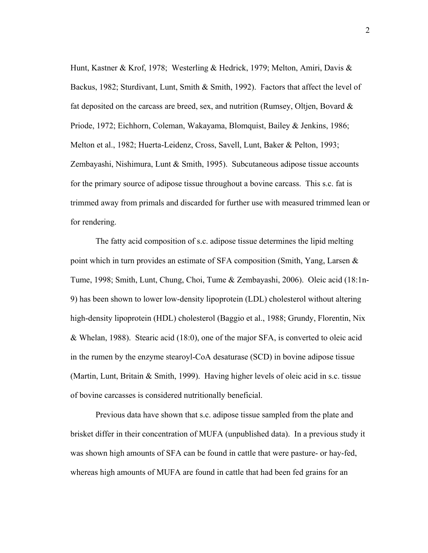Hunt, Kastner & Krof, 1978; Westerling & Hedrick, 1979; Melton, Amiri, Davis & Backus, 1982; Sturdivant, Lunt, Smith & Smith, 1992). Factors that affect the level of fat deposited on the carcass are breed, sex, and nutrition (Rumsey, Oltjen, Bovard  $\&$ Priode, 1972; Eichhorn, Coleman, Wakayama, Blomquist, Bailey & Jenkins, 1986; Melton et al., 1982; Huerta-Leidenz, Cross, Savell, Lunt, Baker & Pelton, 1993; Zembayashi, Nishimura, Lunt & Smith, 1995). Subcutaneous adipose tissue accounts for the primary source of adipose tissue throughout a bovine carcass. This s.c. fat is trimmed away from primals and discarded for further use with measured trimmed lean or for rendering.

 The fatty acid composition of s.c. adipose tissue determines the lipid melting point which in turn provides an estimate of SFA composition (Smith, Yang, Larsen & Tume, 1998; Smith, Lunt, Chung, Choi, Tume & Zembayashi, 2006). Oleic acid (18:1n-9) has been shown to lower low-density lipoprotein (LDL) cholesterol without altering high-density lipoprotein (HDL) cholesterol (Baggio et al., 1988; Grundy, Florentin, Nix & Whelan, 1988). Stearic acid (18:0), one of the major SFA, is converted to oleic acid in the rumen by the enzyme stearoyl-CoA desaturase (SCD) in bovine adipose tissue (Martin, Lunt, Britain & Smith, 1999). Having higher levels of oleic acid in s.c. tissue of bovine carcasses is considered nutritionally beneficial.

 Previous data have shown that s.c. adipose tissue sampled from the plate and brisket differ in their concentration of MUFA (unpublished data). In a previous study it was shown high amounts of SFA can be found in cattle that were pasture- or hay-fed, whereas high amounts of MUFA are found in cattle that had been fed grains for an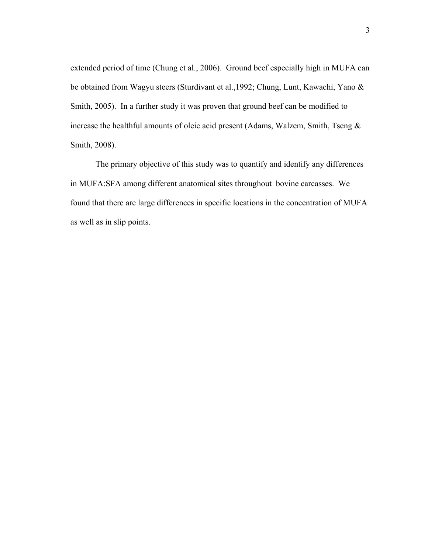extended period of time (Chung et al., 2006). Ground beef especially high in MUFA can be obtained from Wagyu steers (Sturdivant et al.,1992; Chung, Lunt, Kawachi, Yano & Smith, 2005). In a further study it was proven that ground beef can be modified to increase the healthful amounts of oleic acid present (Adams, Walzem, Smith, Tseng & Smith, 2008).

 The primary objective of this study was to quantify and identify any differences in MUFA:SFA among different anatomical sites throughout bovine carcasses. We found that there are large differences in specific locations in the concentration of MUFA as well as in slip points.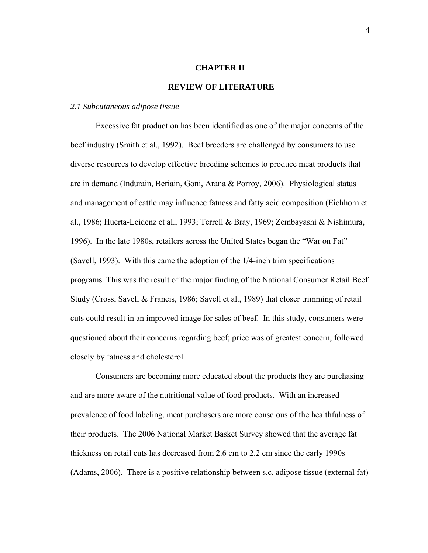#### **CHAPTER II**

#### **REVIEW OF LITERATURE**

#### *2.1 Subcutaneous adipose tissue*

Excessive fat production has been identified as one of the major concerns of the beef industry (Smith et al., 1992). Beef breeders are challenged by consumers to use diverse resources to develop effective breeding schemes to produce meat products that are in demand (Indurain, Beriain, Goni, Arana & Porroy, 2006). Physiological status and management of cattle may influence fatness and fatty acid composition (Eichhorn et al., 1986; Huerta-Leidenz et al., 1993; Terrell & Bray, 1969; Zembayashi & Nishimura, 1996). In the late 1980s, retailers across the United States began the "War on Fat" (Savell, 1993). With this came the adoption of the 1/4-inch trim specifications programs. This was the result of the major finding of the National Consumer Retail Beef Study (Cross, Savell & Francis, 1986; Savell et al., 1989) that closer trimming of retail cuts could result in an improved image for sales of beef. In this study, consumers were questioned about their concerns regarding beef; price was of greatest concern, followed closely by fatness and cholesterol.

Consumers are becoming more educated about the products they are purchasing and are more aware of the nutritional value of food products. With an increased prevalence of food labeling, meat purchasers are more conscious of the healthfulness of their products. The 2006 National Market Basket Survey showed that the average fat thickness on retail cuts has decreased from 2.6 cm to 2.2 cm since the early 1990s (Adams, 2006). There is a positive relationship between s.c. adipose tissue (external fat)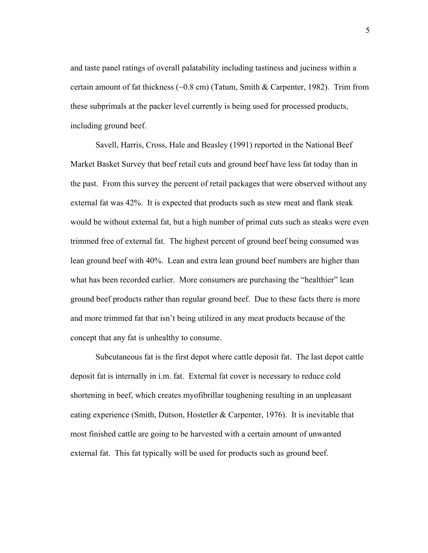and taste panel ratings of overall palatability including tastiness and juciness within a certain amount of fat thickness (~0.8 cm) (Tatum, Smith & Carpenter, 1982). Trim from these subprimals at the packer level currently is being used for processed products, including ground beef.

Savell, Harris, Cross, Hale and Beasley (1991) reported in the National Beef Market Basket Survey that beef retail cuts and ground beef have less fat today than in the past. From this survey the percent of retail packages that were observed without any external fat was 42%. It is expected that products such as stew meat and flank steak would be without external fat, but a high number of primal cuts such as steaks were even trimmed free of external fat. The highest percent of ground beef being consumed was lean ground beef with 40%. Lean and extra lean ground beef numbers are higher than what has been recorded earlier. More consumers are purchasing the "healthier" lean ground beef products rather than regular ground beef. Due to these facts there is more and more trimmed fat that isn't being utilized in any meat products because of the concept that any fat is unhealthy to consume.

Subcutaneous fat is the first depot where cattle deposit fat. The last depot cattle deposit fat is internally in i.m. fat. External fat cover is necessary to reduce cold shortening in beef, which creates myofibrillar toughening resulting in an unpleasant eating experience (Smith, Dutson, Hostetler & Carpenter, 1976). It is inevitable that most finished cattle are going to be harvested with a certain amount of unwanted external fat. This fat typically will be used for products such as ground beef.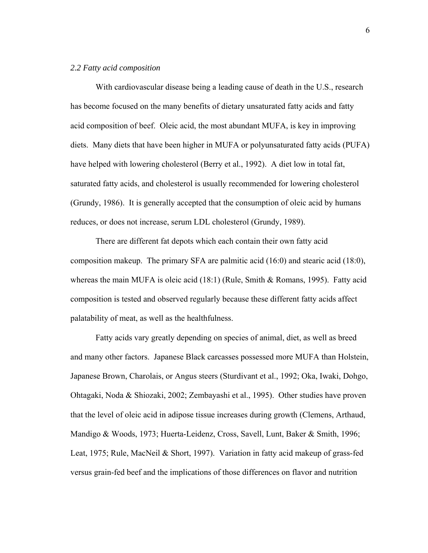#### *2.2 Fatty acid composition*

With cardiovascular disease being a leading cause of death in the U.S., research has become focused on the many benefits of dietary unsaturated fatty acids and fatty acid composition of beef. Oleic acid, the most abundant MUFA, is key in improving diets. Many diets that have been higher in MUFA or polyunsaturated fatty acids (PUFA) have helped with lowering cholesterol (Berry et al., 1992). A diet low in total fat, saturated fatty acids, and cholesterol is usually recommended for lowering cholesterol (Grundy, 1986). It is generally accepted that the consumption of oleic acid by humans reduces, or does not increase, serum LDL cholesterol (Grundy, 1989).

 There are different fat depots which each contain their own fatty acid composition makeup. The primary SFA are palmitic acid (16:0) and stearic acid (18:0), whereas the main MUFA is oleic acid  $(18.1)$  (Rule, Smith & Romans, 1995). Fatty acid composition is tested and observed regularly because these different fatty acids affect palatability of meat, as well as the healthfulness.

 Fatty acids vary greatly depending on species of animal, diet, as well as breed and many other factors. Japanese Black carcasses possessed more MUFA than Holstein, Japanese Brown, Charolais, or Angus steers (Sturdivant et al., 1992; Oka, Iwaki, Dohgo, Ohtagaki, Noda & Shiozaki, 2002; Zembayashi et al., 1995). Other studies have proven that the level of oleic acid in adipose tissue increases during growth (Clemens, Arthaud, Mandigo & Woods, 1973; Huerta-Leidenz, Cross, Savell, Lunt, Baker & Smith, 1996; Leat, 1975; Rule, MacNeil & Short, 1997). Variation in fatty acid makeup of grass-fed versus grain-fed beef and the implications of those differences on flavor and nutrition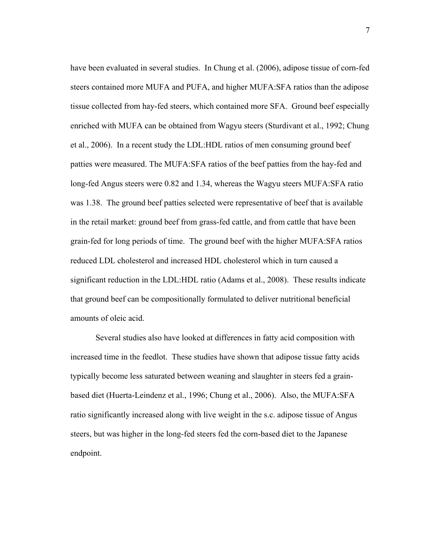have been evaluated in several studies. In Chung et al. (2006), adipose tissue of corn-fed steers contained more MUFA and PUFA, and higher MUFA:SFA ratios than the adipose tissue collected from hay-fed steers, which contained more SFA. Ground beef especially enriched with MUFA can be obtained from Wagyu steers (Sturdivant et al., 1992; Chung et al., 2006). In a recent study the LDL:HDL ratios of men consuming ground beef patties were measured. The MUFA:SFA ratios of the beef patties from the hay-fed and long-fed Angus steers were 0.82 and 1.34, whereas the Wagyu steers MUFA:SFA ratio was 1.38. The ground beef patties selected were representative of beef that is available in the retail market: ground beef from grass-fed cattle, and from cattle that have been grain-fed for long periods of time. The ground beef with the higher MUFA:SFA ratios reduced LDL cholesterol and increased HDL cholesterol which in turn caused a significant reduction in the LDL:HDL ratio (Adams et al., 2008). These results indicate that ground beef can be compositionally formulated to deliver nutritional beneficial amounts of oleic acid.

 Several studies also have looked at differences in fatty acid composition with increased time in the feedlot. These studies have shown that adipose tissue fatty acids typically become less saturated between weaning and slaughter in steers fed a grainbased diet (Huerta-Leindenz et al., 1996; Chung et al., 2006). Also, the MUFA:SFA ratio significantly increased along with live weight in the s.c. adipose tissue of Angus steers, but was higher in the long-fed steers fed the corn-based diet to the Japanese endpoint.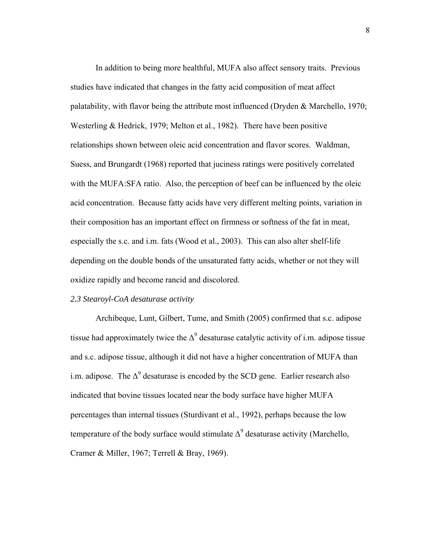In addition to being more healthful, MUFA also affect sensory traits. Previous studies have indicated that changes in the fatty acid composition of meat affect palatability, with flavor being the attribute most influenced (Dryden & Marchello, 1970; Westerling & Hedrick, 1979; Melton et al., 1982). There have been positive relationships shown between oleic acid concentration and flavor scores. Waldman, Suess, and Brungardt (1968) reported that juciness ratings were positively correlated with the MUFA:SFA ratio. Also, the perception of beef can be influenced by the oleic acid concentration. Because fatty acids have very different melting points, variation in their composition has an important effect on firmness or softness of the fat in meat, especially the s.c. and i.m. fats (Wood et al., 2003). This can also alter shelf-life depending on the double bonds of the unsaturated fatty acids, whether or not they will oxidize rapidly and become rancid and discolored.

## *2.3 Stearoyl-CoA desaturase activity*

 Archibeque, Lunt, Gilbert, Tume, and Smith (2005) confirmed that s.c. adipose tissue had approximately twice the  $\Delta^9$  desaturase catalytic activity of i.m. adipose tissue and s.c. adipose tissue, although it did not have a higher concentration of MUFA than i.m. adipose. The  $\Delta^9$  desaturase is encoded by the SCD gene. Earlier research also indicated that bovine tissues located near the body surface have higher MUFA percentages than internal tissues (Sturdivant et al., 1992), perhaps because the low temperature of the body surface would stimulate  $\Delta^9$  desaturase activity (Marchello, Cramer & Miller, 1967; Terrell & Bray, 1969).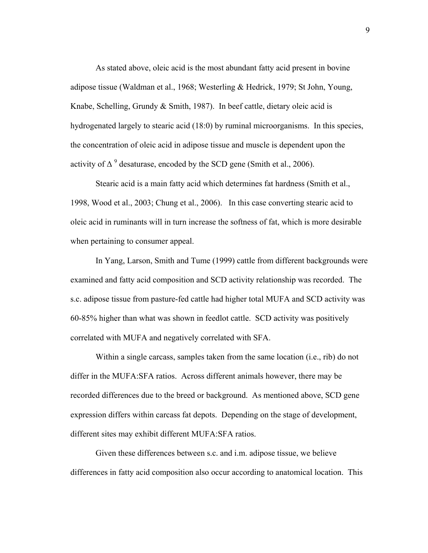As stated above, oleic acid is the most abundant fatty acid present in bovine adipose tissue (Waldman et al., 1968; Westerling & Hedrick, 1979; St John, Young, Knabe, Schelling, Grundy & Smith, 1987). In beef cattle, dietary oleic acid is hydrogenated largely to stearic acid (18:0) by ruminal microorganisms. In this species, the concentration of oleic acid in adipose tissue and muscle is dependent upon the activity of  $\Delta^9$  desaturase, encoded by the SCD gene (Smith et al., 2006).

Stearic acid is a main fatty acid which determines fat hardness (Smith et al., 1998, Wood et al., 2003; Chung et al., 2006). In this case converting stearic acid to oleic acid in ruminants will in turn increase the softness of fat, which is more desirable when pertaining to consumer appeal.

 In Yang, Larson, Smith and Tume (1999) cattle from different backgrounds were examined and fatty acid composition and SCD activity relationship was recorded. The s.c. adipose tissue from pasture-fed cattle had higher total MUFA and SCD activity was 60-85% higher than what was shown in feedlot cattle. SCD activity was positively correlated with MUFA and negatively correlated with SFA.

Within a single carcass, samples taken from the same location (i.e., rib) do not differ in the MUFA:SFA ratios. Across different animals however, there may be recorded differences due to the breed or background. As mentioned above, SCD gene expression differs within carcass fat depots. Depending on the stage of development, different sites may exhibit different MUFA:SFA ratios.

Given these differences between s.c. and i.m. adipose tissue, we believe differences in fatty acid composition also occur according to anatomical location. This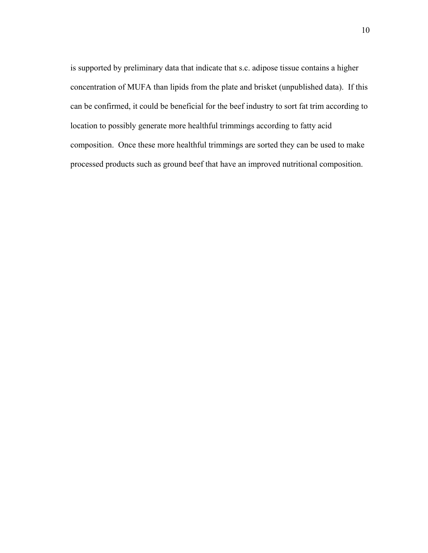is supported by preliminary data that indicate that s.c. adipose tissue contains a higher concentration of MUFA than lipids from the plate and brisket (unpublished data). If this can be confirmed, it could be beneficial for the beef industry to sort fat trim according to location to possibly generate more healthful trimmings according to fatty acid composition. Once these more healthful trimmings are sorted they can be used to make processed products such as ground beef that have an improved nutritional composition.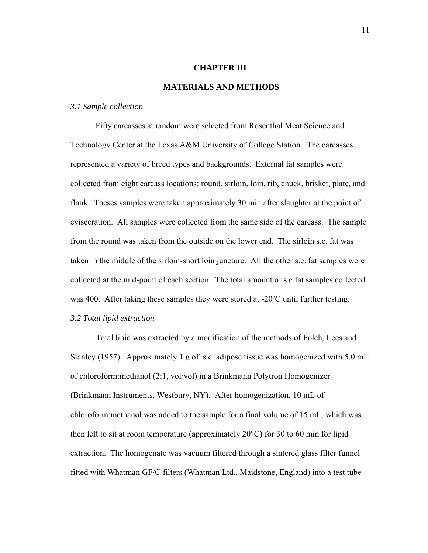#### **CHAPTER III**

#### **MATERIALS AND METHODS**

#### *3.1 Sample collection*

 Fifty carcasses at random were selected from Rosenthal Meat Science and Technology Center at the Texas A&M University of College Station. The carcasses represented a variety of breed types and backgrounds. External fat samples were collected from eight carcass locations: round, sirloin, loin, rib, chuck, brisket, plate, and flank. Theses samples were taken approximately 30 min after slaughter at the point of evisceration. All samples were collected from the same side of the carcass. The sample from the round was taken from the outside on the lower end. The sirloin s.c. fat was taken in the middle of the sirloin-short loin juncture. All the other s.c. fat samples were collected at the mid-point of each section. The total amount of s.c fat samples collected was 400. After taking these samples they were stored at -20ºC until further testing.

# *3.2 Total lipid extraction*

Total lipid was extracted by a modification of the methods of Folch, Lees and Stanley (1957). Approximately 1 g of s.c. adipose tissue was homogenized with 5.0 mL of chloroform:methanol (2:1, vol/vol) in a Brinkmann Polytron Homogenizer (Brinkmann Instruments, Westbury, NY). After homogenization, 10 mL of chloroform:methanol was added to the sample for a final volume of 15 mL, which was then left to sit at room temperature (approximately 20°C) for 30 to 60 min for lipid extraction. The homogenate was vacuum filtered through a sintered glass filter funnel fitted with Whatman GF/C filters (Whatman Ltd., Maidstone, England) into a test tube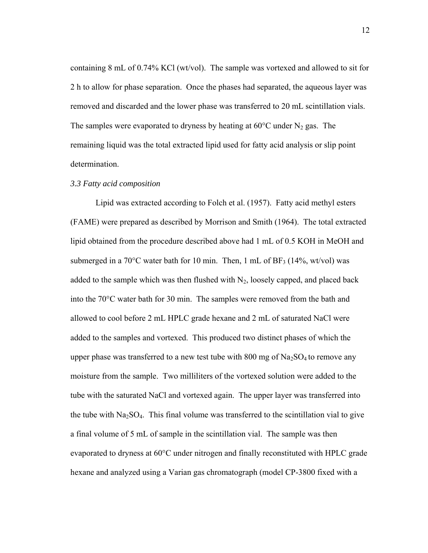containing 8 mL of 0.74% KCl (wt/vol). The sample was vortexed and allowed to sit for 2 h to allow for phase separation. Once the phases had separated, the aqueous layer was removed and discarded and the lower phase was transferred to 20 mL scintillation vials. The samples were evaporated to dryness by heating at  $60^{\circ}$ C under N<sub>2</sub> gas. The remaining liquid was the total extracted lipid used for fatty acid analysis or slip point determination.

#### *3.3 Fatty acid composition*

Lipid was extracted according to Folch et al. (1957). Fatty acid methyl esters (FAME) were prepared as described by Morrison and Smith (1964). The total extracted lipid obtained from the procedure described above had 1 mL of 0.5 KOH in MeOH and submerged in a 70 $^{\circ}$ C water bath for 10 min. Then, 1 mL of BF<sub>3</sub> (14%, wt/vol) was added to the sample which was then flushed with  $N_2$ , loosely capped, and placed back into the 70°C water bath for 30 min. The samples were removed from the bath and allowed to cool before 2 mL HPLC grade hexane and 2 mL of saturated NaCl were added to the samples and vortexed. This produced two distinct phases of which the upper phase was transferred to a new test tube with  $800 \text{ mg of Na}_2\text{SO}_4$  to remove any moisture from the sample. Two milliliters of the vortexed solution were added to the tube with the saturated NaCl and vortexed again. The upper layer was transferred into the tube with  $Na<sub>2</sub>SO<sub>4</sub>$ . This final volume was transferred to the scintillation vial to give a final volume of 5 mL of sample in the scintillation vial. The sample was then evaporated to dryness at 60°C under nitrogen and finally reconstituted with HPLC grade hexane and analyzed using a Varian gas chromatograph (model CP-3800 fixed with a

12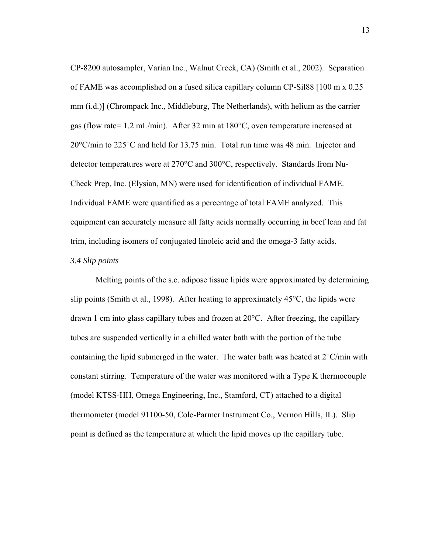CP-8200 autosampler, Varian Inc., Walnut Creek, CA) (Smith et al., 2002). Separation of FAME was accomplished on a fused silica capillary column CP-Sil88 [100 m x 0.25 mm (i.d.)] (Chrompack Inc., Middleburg, The Netherlands), with helium as the carrier gas (flow rate= 1.2 mL/min). After 32 min at 180°C, oven temperature increased at 20°C/min to 225°C and held for 13.75 min. Total run time was 48 min. Injector and detector temperatures were at 270°C and 300°C, respectively. Standards from Nu-Check Prep, Inc. (Elysian, MN) were used for identification of individual FAME. Individual FAME were quantified as a percentage of total FAME analyzed. This equipment can accurately measure all fatty acids normally occurring in beef lean and fat trim, including isomers of conjugated linoleic acid and the omega-3 fatty acids.

# *3.4 Slip points*

Melting points of the s.c. adipose tissue lipids were approximated by determining slip points (Smith et al., 1998). After heating to approximately 45°C, the lipids were drawn 1 cm into glass capillary tubes and frozen at 20°C. After freezing, the capillary tubes are suspended vertically in a chilled water bath with the portion of the tube containing the lipid submerged in the water. The water bath was heated at 2°C/min with constant stirring. Temperature of the water was monitored with a Type K thermocouple (model KTSS-HH, Omega Engineering, Inc., Stamford, CT) attached to a digital thermometer (model 91100-50, Cole-Parmer Instrument Co., Vernon Hills, IL). Slip point is defined as the temperature at which the lipid moves up the capillary tube.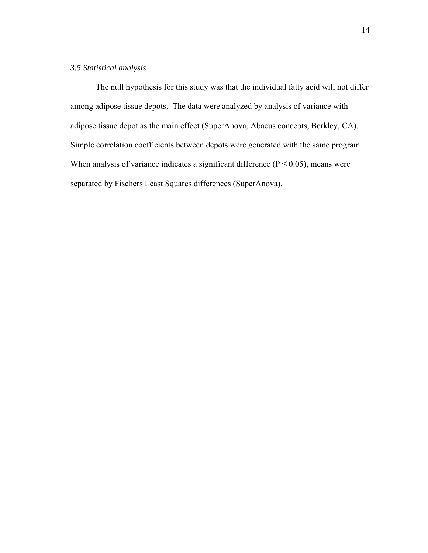# *3.5 Statistical analysis*

The null hypothesis for this study was that the individual fatty acid will not differ among adipose tissue depots. The data were analyzed by analysis of variance with adipose tissue depot as the main effect (SuperAnova, Abacus concepts, Berkley, CA). Simple correlation coefficients between depots were generated with the same program. When analysis of variance indicates a significant difference ( $P \le 0.05$ ), means were separated by Fischers Least Squares differences (SuperAnova).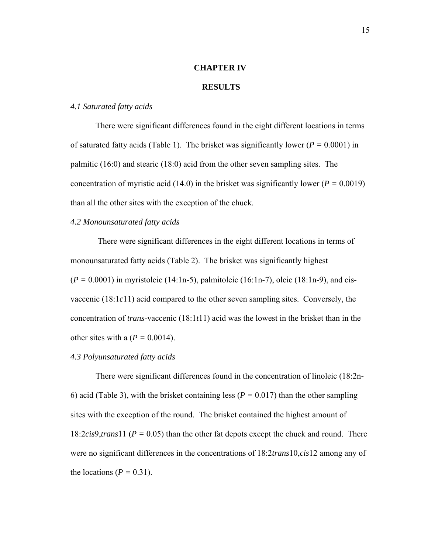#### **CHAPTER IV**

#### **RESULTS**

## *4.1 Saturated fatty acids*

 There were significant differences found in the eight different locations in terms of saturated fatty acids (Table 1). The brisket was significantly lower ( $P = 0.0001$ ) in palmitic (16:0) and stearic (18:0) acid from the other seven sampling sites. The concentration of myristic acid (14.0) in the brisket was significantly lower ( $P = 0.0019$ ) than all the other sites with the exception of the chuck.

#### *4.2 Monounsaturated fatty acids*

 There were significant differences in the eight different locations in terms of monounsaturated fatty acids (Table 2). The brisket was significantly highest (*P =* 0.0001) in myristoleic (14:1n-5), palmitoleic (16:1n-7), oleic (18:1n-9), and cisvaccenic (18:1*c*11) acid compared to the other seven sampling sites. Conversely, the concentration of *trans*-vaccenic (18:1*t*11) acid was the lowest in the brisket than in the other sites with a  $(P = 0.0014)$ .

# *4.3 Polyunsaturated fatty acids*

There were significant differences found in the concentration of linoleic (18:2n-6) acid (Table 3), with the brisket containing less (*P =* 0.017) than the other sampling sites with the exception of the round. The brisket contained the highest amount of 18:2*cis*9,*trans*11 (*P =* 0.05) than the other fat depots except the chuck and round. There were no significant differences in the concentrations of 18:2*trans*10,*cis*12 among any of the locations ( $P = 0.31$ ).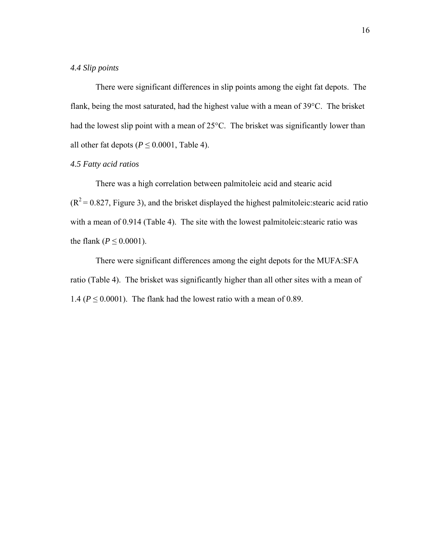## *4.4 Slip points*

 There were significant differences in slip points among the eight fat depots. The flank, being the most saturated, had the highest value with a mean of 39°C. The brisket had the lowest slip point with a mean of 25°C. The brisket was significantly lower than all other fat depots ( $P \le 0.0001$ , Table 4).

# *4.5 Fatty acid ratios*

 There was a high correlation between palmitoleic acid and stearic acid  $(R<sup>2</sup> = 0.827$ , Figure 3), and the brisket displayed the highest palmitoleic: stearic acid ratio with a mean of 0.914 (Table 4). The site with the lowest palmitoleic:stearic ratio was the flank ( $P \le 0.0001$ ).

 There were significant differences among the eight depots for the MUFA:SFA ratio (Table 4). The brisket was significantly higher than all other sites with a mean of 1.4 ( $P \le 0.0001$ ). The flank had the lowest ratio with a mean of 0.89.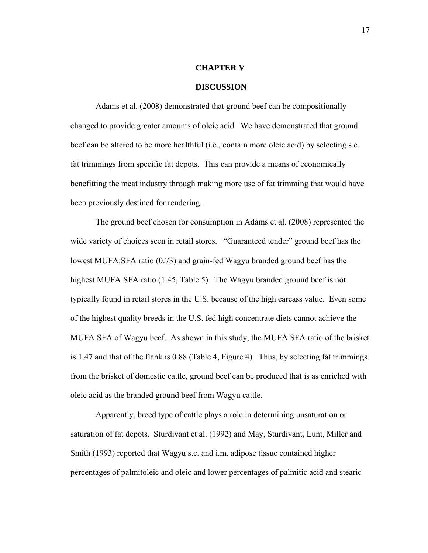#### **CHAPTER V**

#### **DISCUSSION**

 Adams et al. (2008) demonstrated that ground beef can be compositionally changed to provide greater amounts of oleic acid. We have demonstrated that ground beef can be altered to be more healthful (i.e., contain more oleic acid) by selecting s.c. fat trimmings from specific fat depots. This can provide a means of economically benefitting the meat industry through making more use of fat trimming that would have been previously destined for rendering.

 The ground beef chosen for consumption in Adams et al. (2008) represented the wide variety of choices seen in retail stores. "Guaranteed tender" ground beef has the lowest MUFA:SFA ratio (0.73) and grain-fed Wagyu branded ground beef has the highest MUFA:SFA ratio (1.45, Table 5). The Wagyu branded ground beef is not typically found in retail stores in the U.S. because of the high carcass value. Even some of the highest quality breeds in the U.S. fed high concentrate diets cannot achieve the MUFA:SFA of Wagyu beef. As shown in this study, the MUFA:SFA ratio of the brisket is 1.47 and that of the flank is 0.88 (Table 4, Figure 4). Thus, by selecting fat trimmings from the brisket of domestic cattle, ground beef can be produced that is as enriched with oleic acid as the branded ground beef from Wagyu cattle.

 Apparently, breed type of cattle plays a role in determining unsaturation or saturation of fat depots. Sturdivant et al. (1992) and May, Sturdivant, Lunt, Miller and Smith (1993) reported that Wagyu s.c. and i.m. adipose tissue contained higher percentages of palmitoleic and oleic and lower percentages of palmitic acid and stearic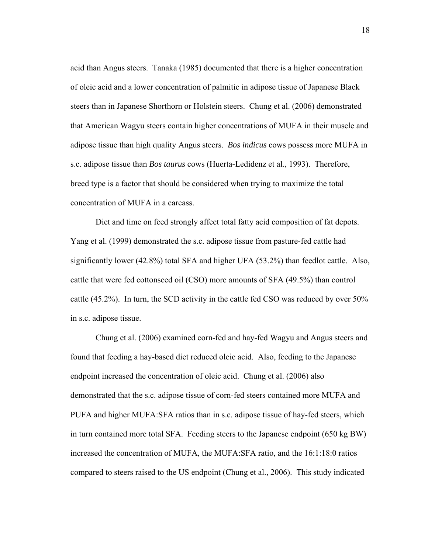acid than Angus steers. Tanaka (1985) documented that there is a higher concentration of oleic acid and a lower concentration of palmitic in adipose tissue of Japanese Black steers than in Japanese Shorthorn or Holstein steers. Chung et al. (2006) demonstrated that American Wagyu steers contain higher concentrations of MUFA in their muscle and adipose tissue than high quality Angus steers. *Bos indicus* cows possess more MUFA in s.c. adipose tissue than *Bos taurus* cows (Huerta-Ledidenz et al., 1993). Therefore, breed type is a factor that should be considered when trying to maximize the total concentration of MUFA in a carcass.

 Diet and time on feed strongly affect total fatty acid composition of fat depots. Yang et al. (1999) demonstrated the s.c. adipose tissue from pasture-fed cattle had significantly lower (42.8%) total SFA and higher UFA (53.2%) than feedlot cattle. Also, cattle that were fed cottonseed oil (CSO) more amounts of SFA (49.5%) than control cattle (45.2%). In turn, the SCD activity in the cattle fed CSO was reduced by over 50% in s.c. adipose tissue.

 Chung et al. (2006) examined corn-fed and hay-fed Wagyu and Angus steers and found that feeding a hay-based diet reduced oleic acid. Also, feeding to the Japanese endpoint increased the concentration of oleic acid. Chung et al. (2006) also demonstrated that the s.c. adipose tissue of corn-fed steers contained more MUFA and PUFA and higher MUFA:SFA ratios than in s.c. adipose tissue of hay-fed steers, which in turn contained more total SFA. Feeding steers to the Japanese endpoint (650 kg BW) increased the concentration of MUFA, the MUFA:SFA ratio, and the 16:1:18:0 ratios compared to steers raised to the US endpoint (Chung et al., 2006). This study indicated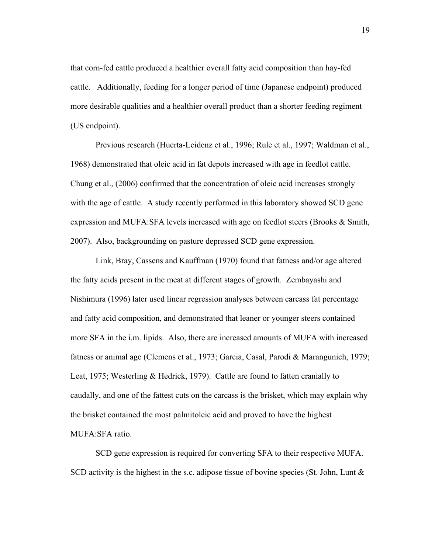that corn-fed cattle produced a healthier overall fatty acid composition than hay-fed cattle. Additionally, feeding for a longer period of time (Japanese endpoint) produced more desirable qualities and a healthier overall product than a shorter feeding regiment (US endpoint).

 Previous research (Huerta-Leidenz et al., 1996; Rule et al., 1997; Waldman et al., 1968) demonstrated that oleic acid in fat depots increased with age in feedlot cattle. Chung et al., (2006) confirmed that the concentration of oleic acid increases strongly with the age of cattle. A study recently performed in this laboratory showed SCD gene expression and MUFA:SFA levels increased with age on feedlot steers (Brooks & Smith, 2007). Also, backgrounding on pasture depressed SCD gene expression.

Link, Bray, Cassens and Kauffman (1970) found that fatness and/or age altered the fatty acids present in the meat at different stages of growth. Zembayashi and Nishimura (1996) later used linear regression analyses between carcass fat percentage and fatty acid composition, and demonstrated that leaner or younger steers contained more SFA in the i.m. lipids. Also, there are increased amounts of MUFA with increased fatness or animal age (Clemens et al., 1973; Garcia, Casal, Parodi & Marangunich, 1979; Leat, 1975; Westerling & Hedrick, 1979). Cattle are found to fatten cranially to caudally, and one of the fattest cuts on the carcass is the brisket, which may explain why the brisket contained the most palmitoleic acid and proved to have the highest MUFA:SFA ratio.

 SCD gene expression is required for converting SFA to their respective MUFA. SCD activity is the highest in the s.c. adipose tissue of bovine species (St. John, Lunt &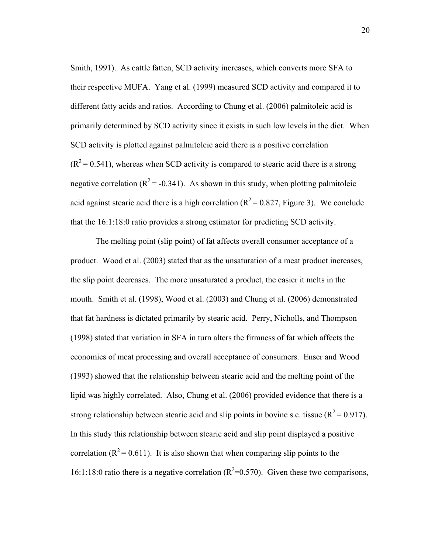Smith, 1991). As cattle fatten, SCD activity increases, which converts more SFA to their respective MUFA. Yang et al. (1999) measured SCD activity and compared it to different fatty acids and ratios. According to Chung et al. (2006) palmitoleic acid is primarily determined by SCD activity since it exists in such low levels in the diet. When SCD activity is plotted against palmitoleic acid there is a positive correlation  $(R<sup>2</sup>=0.541)$ , whereas when SCD activity is compared to stearic acid there is a strong negative correlation ( $R^2$  = -0.341). As shown in this study, when plotting palmitoleic acid against stearic acid there is a high correlation ( $R^2 = 0.827$ , Figure 3). We conclude that the 16:1:18:0 ratio provides a strong estimator for predicting SCD activity.

 The melting point (slip point) of fat affects overall consumer acceptance of a product. Wood et al. (2003) stated that as the unsaturation of a meat product increases, the slip point decreases. The more unsaturated a product, the easier it melts in the mouth. Smith et al. (1998), Wood et al. (2003) and Chung et al. (2006) demonstrated that fat hardness is dictated primarily by stearic acid. Perry, Nicholls, and Thompson (1998) stated that variation in SFA in turn alters the firmness of fat which affects the economics of meat processing and overall acceptance of consumers. Enser and Wood (1993) showed that the relationship between stearic acid and the melting point of the lipid was highly correlated. Also, Chung et al. (2006) provided evidence that there is a strong relationship between stearic acid and slip points in bovine s.c. tissue ( $R^2$  = 0.917). In this study this relationship between stearic acid and slip point displayed a positive correlation ( $R^2$  = 0.611). It is also shown that when comparing slip points to the 16:1:18:0 ratio there is a negative correlation ( $R^2$ =0.570). Given these two comparisons,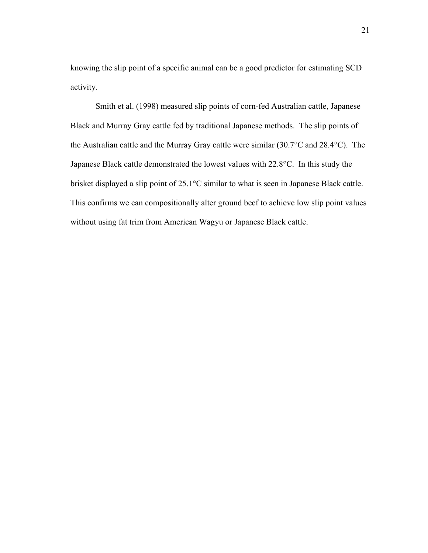knowing the slip point of a specific animal can be a good predictor for estimating SCD activity.

 Smith et al. (1998) measured slip points of corn-fed Australian cattle, Japanese Black and Murray Gray cattle fed by traditional Japanese methods. The slip points of the Australian cattle and the Murray Gray cattle were similar (30.7°C and 28.4°C). The Japanese Black cattle demonstrated the lowest values with 22.8°C. In this study the brisket displayed a slip point of 25.1°C similar to what is seen in Japanese Black cattle. This confirms we can compositionally alter ground beef to achieve low slip point values without using fat trim from American Wagyu or Japanese Black cattle.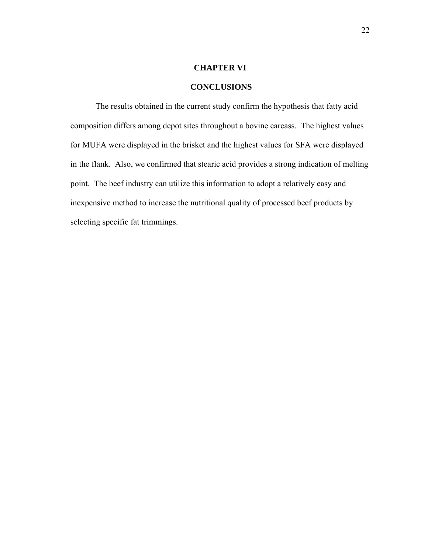## **CHAPTER VI**

# **CONCLUSIONS**

The results obtained in the current study confirm the hypothesis that fatty acid composition differs among depot sites throughout a bovine carcass. The highest values for MUFA were displayed in the brisket and the highest values for SFA were displayed in the flank. Also, we confirmed that stearic acid provides a strong indication of melting point. The beef industry can utilize this information to adopt a relatively easy and inexpensive method to increase the nutritional quality of processed beef products by selecting specific fat trimmings.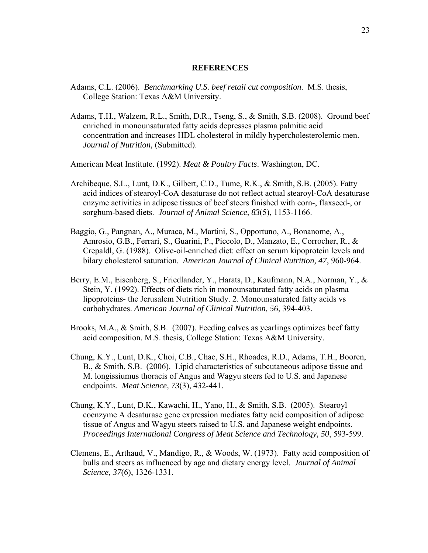#### **REFERENCES**

- Adams, C.L. (2006). *Benchmarking U.S. beef retail cut composition*. M.S. thesis, College Station: Texas A&M University.
- Adams, T.H., Walzem, R.L., Smith, D.R., Tseng, S., & Smith, S.B. (2008). Ground beef enriched in monounsaturated fatty acids depresses plasma palmitic acid concentration and increases HDL cholesterol in mildly hypercholesterolemic men. *Journal of Nutrition,* (Submitted).

American Meat Institute. (1992). *Meat & Poultry Facts*. Washington, DC.

- Archibeque, S.L., Lunt, D.K., Gilbert, C.D., Tume, R.K., & Smith, S.B. (2005). Fatty acid indices of stearoyl-CoA desaturase do not reflect actual stearoyl-CoA desaturase enzyme activities in adipose tissues of beef steers finished with corn-, flaxseed-, or sorghum-based diets. *Journal of Animal Science, 83*(5), 1153-1166.
- Baggio, G., Pangnan, A., Muraca, M., Martini, S., Opportuno, A., Bonanome, A., Amrosio, G.B., Ferrari, S., Guarini, P., Piccolo, D., Manzato, E., Corrocher, R., & Crepaldl, G. (1988). Olive-oil-enriched diet: effect on serum kipoprotein levels and bilary cholesterol saturation. *American Journal of Clinical Nutrition, 47*, 960-964.
- Berry, E.M., Eisenberg, S., Friedlander, Y., Harats, D., Kaufmann, N.A., Norman, Y., & Stein, Y. (1992). Effects of diets rich in monounsaturated fatty acids on plasma lipoproteins- the Jerusalem Nutrition Study. 2. Monounsaturated fatty acids vs carbohydrates. *American Journal of Clinical Nutrition, 56*, 394-403.
- Brooks, M.A., & Smith, S.B. (2007). Feeding calves as yearlings optimizes beef fatty acid composition. M.S. thesis, College Station: Texas A&M University.
- Chung, K.Y., Lunt, D.K., Choi, C.B., Chae, S.H., Rhoades, R.D., Adams, T.H., Booren, B., & Smith, S.B. (2006). Lipid characteristics of subcutaneous adipose tissue and M. longissiumus thoracis of Angus and Wagyu steers fed to U.S. and Japanese endpoints. *Meat Science, 73*(3), 432-441.
- Chung, K.Y., Lunt, D.K., Kawachi, H., Yano, H., & Smith, S.B. (2005). Stearoyl coenzyme A desaturase gene expression mediates fatty acid composition of adipose tissue of Angus and Wagyu steers raised to U.S. and Japanese weight endpoints. *Proceedings International Congress of Meat Science and Technology, 50*, 593-599.
- Clemens, E., Arthaud, V., Mandigo, R., & Woods, W. (1973). Fatty acid composition of bulls and steers as influenced by age and dietary energy level. *Journal of Animal Science, 37*(6), 1326-1331.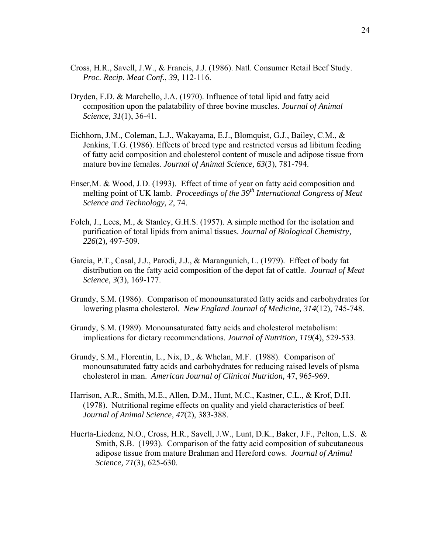- Cross, H.R., Savell, J.W., & Francis, J.J. (1986). Natl. Consumer Retail Beef Study. *Proc. Recip. Meat Conf*., *39*, 112-116.
- Dryden, F.D. & Marchello, J.A. (1970). Influence of total lipid and fatty acid composition upon the palatability of three bovine muscles. *Journal of Animal Science, 31*(1), 36-41.
- Eichhorn, J.M., Coleman, L.J., Wakayama, E.J., Blomquist, G.J., Bailey, C.M., & Jenkins, T.G. (1986). Effects of breed type and restricted versus ad libitum feeding of fatty acid composition and cholesterol content of muscle and adipose tissue from mature bovine females. *Journal of Animal Science, 63*(3), 781-794.
- Enser,M. & Wood, J.D. (1993). Effect of time of year on fatty acid composition and melting point of UK lamb. *Proceedings of the 39<sup>th</sup> International Congress of Meat Science and Technology, 2*, 74.
- Folch, J., Lees, M., & Stanley, G.H.S. (1957). A simple method for the isolation and purification of total lipids from animal tissues. *Journal of Biological Chemistry, 226*(2)*,* 497-509.
- Garcia, P.T., Casal, J.J., Parodi, J.J., & Marangunich, L. (1979). Effect of body fat distribution on the fatty acid composition of the depot fat of cattle. *Journal of Meat Science, 3*(3), 169-177.
- Grundy, S.M. (1986). Comparison of monounsaturated fatty acids and carbohydrates for lowering plasma cholesterol. *New England Journal of Medicine, 314*(12), 745-748.
- Grundy, S.M. (1989). Monounsaturated fatty acids and cholesterol metabolism: implications for dietary recommendations. *Journal of Nutrition, 119*(4), 529-533.
- Grundy, S.M., Florentin, L., Nix, D., & Whelan, M.F. (1988). Comparison of monounsaturated fatty acids and carbohydrates for reducing raised levels of plsma cholesterol in man. *American Journal of Clinical Nutrition,* 47, 965-969.
- Harrison, A.R., Smith, M.E., Allen, D.M., Hunt, M.C., Kastner, C.L., & Krof, D.H. (1978). Nutritional regime effects on quality and yield characteristics of beef. *Journal of Animal Science, 47*(2), 383-388.
- Huerta-Liedenz, N.O., Cross, H.R., Savell, J.W., Lunt, D.K., Baker, J.F., Pelton, L.S. & Smith, S.B. (1993). Comparison of the fatty acid composition of subcutaneous adipose tissue from mature Brahman and Hereford cows. *Journal of Animal Science, 71*(3), 625-630.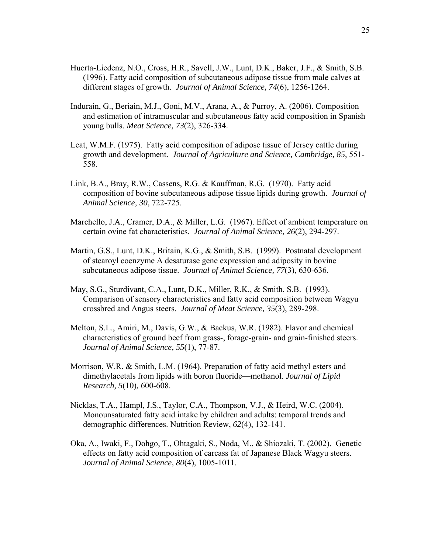- Huerta-Liedenz, N.O., Cross, H.R., Savell, J.W., Lunt, D.K., Baker, J.F., & Smith, S.B. (1996). Fatty acid composition of subcutaneous adipose tissue from male calves at different stages of growth. *Journal of Animal Science, 74*(6), 1256-1264.
- Indurain, G., Beriain, M.J., Goni, M.V., Arana, A., & Purroy, A. (2006). Composition and estimation of intramuscular and subcutaneous fatty acid composition in Spanish young bulls. *Meat Science, 73*(2), 326-334.
- Leat, W.M.F. (1975). Fatty acid composition of adipose tissue of Jersey cattle during growth and development. *Journal of Agriculture and Science, Cambridge, 85*, 551- 558.
- Link, B.A., Bray, R.W., Cassens, R.G. & Kauffman, R.G. (1970). Fatty acid composition of bovine subcutaneous adipose tissue lipids during growth. *Journal of Animal Science, 30*, 722-725.
- Marchello, J.A., Cramer, D.A., & Miller, L.G. (1967). Effect of ambient temperature on certain ovine fat characteristics. *Journal of Animal Science, 26*(2), 294-297.
- Martin, G.S., Lunt, D.K., Britain, K.G., & Smith, S.B. (1999). Postnatal development of stearoyl coenzyme A desaturase gene expression and adiposity in bovine subcutaneous adipose tissue. *Journal of Animal Science, 77*(3), 630-636.
- May, S.G., Sturdivant, C.A., Lunt, D.K., Miller, R.K., & Smith, S.B. (1993). Comparison of sensory characteristics and fatty acid composition between Wagyu crossbred and Angus steers. *Journal of Meat Science, 35*(3), 289-298.
- Melton, S.L., Amiri, M., Davis, G.W., & Backus, W.R. (1982). Flavor and chemical characteristics of ground beef from grass-, forage-grain- and grain-finished steers. *Journal of Animal Science, 55*(1), 77-87.
- Morrison, W.R. & Smith, L.M. (1964). Preparation of fatty acid methyl esters and dimethylacetals from lipids with boron fluoride—methanol. *Journal of Lipid Research, 5*(10)*,* 600-608.
- Nicklas, T.A., Hampl, J.S., Taylor, C.A., Thompson, V.J., & Heird, W.C. (2004). Monounsaturated fatty acid intake by children and adults: temporal trends and demographic differences. Nutrition Review, *62*(4), 132-141.
- Oka, A., Iwaki, F., Dohgo, T., Ohtagaki, S., Noda, M., & Shiozaki, T. (2002). Genetic effects on fatty acid composition of carcass fat of Japanese Black Wagyu steers. *Journal of Animal Science, 80*(4), 1005-1011.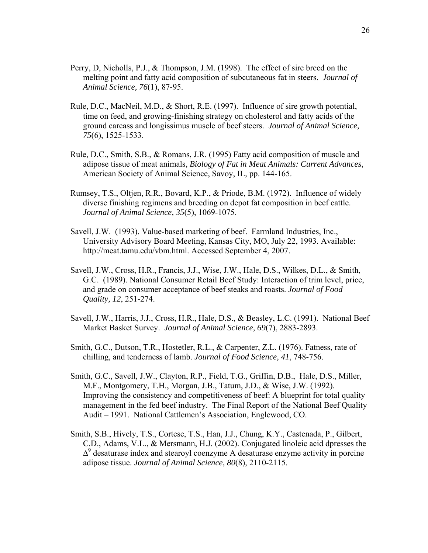- Perry, D, Nicholls, P.J., & Thompson, J.M. (1998). The effect of sire breed on the melting point and fatty acid composition of subcutaneous fat in steers. *Journal of Animal Science, 76*(1), 87-95.
- Rule, D.C., MacNeil, M.D., & Short, R.E. (1997). Influence of sire growth potential, time on feed, and growing-finishing strategy on cholesterol and fatty acids of the ground carcass and longissimus muscle of beef steers. *Journal of Animal Science, 75*(6), 1525-1533.
- Rule, D.C., Smith, S.B., & Romans, J.R. (1995) Fatty acid composition of muscle and adipose tissue of meat animals, *Biology of Fat in Meat Animals: Current Advances*, American Society of Animal Science, Savoy, IL, pp. 144-165.
- Rumsey, T.S., Oltjen, R.R., Bovard, K.P., & Priode, B.M. (1972). Influence of widely diverse finishing regimens and breeding on depot fat composition in beef cattle. *Journal of Animal Science, 35*(5), 1069-1075.
- Savell, J.W. (1993). Value-based marketing of beef. Farmland Industries, Inc., University Advisory Board Meeting, Kansas City, MO, July 22, 1993. Available: http://meat.tamu.edu/vbm.html. Accessed September 4, 2007.
- Savell, J.W., Cross, H.R., Francis, J.J., Wise, J.W., Hale, D.S., Wilkes, D.L., & Smith, G.C. (1989). National Consumer Retail Beef Study: Interaction of trim level, price, and grade on consumer acceptance of beef steaks and roasts. *Journal of Food Quality, 12*, 251-274.
- Savell, J.W., Harris, J.J., Cross, H.R., Hale, D.S., & Beasley, L.C. (1991). National Beef Market Basket Survey. *Journal of Animal Science, 69*(7), 2883-2893.
- Smith, G.C., Dutson, T.R., Hostetler, R.L., & Carpenter, Z.L. (1976). Fatness, rate of chilling, and tenderness of lamb. *Journal of Food Science, 41*, 748-756.
- Smith, G.C., Savell, J.W., Clayton, R.P., Field, T.G., Griffin, D.B., Hale, D.S., Miller, M.F., Montgomery, T.H., Morgan, J.B., Tatum, J.D., & Wise, J.W. (1992). Improving the consistency and competitiveness of beef: A blueprint for total quality management in the fed beef industry. The Final Report of the National Beef Quality Audit – 1991. National Cattlemen's Association, Englewood, CO.
- Smith, S.B., Hively, T.S., Cortese, T.S., Han, J.J., Chung, K.Y., Castenada, P., Gilbert, C.D., Adams, V.L., & Mersmann, H.J. (2002). Conjugated linoleic acid dpresses the  $\Delta^9$  desaturase index and stearoyl coenzyme A desaturase enzyme activity in porcine adipose tissue. *Journal of Animal Science, 80*(8), 2110-2115.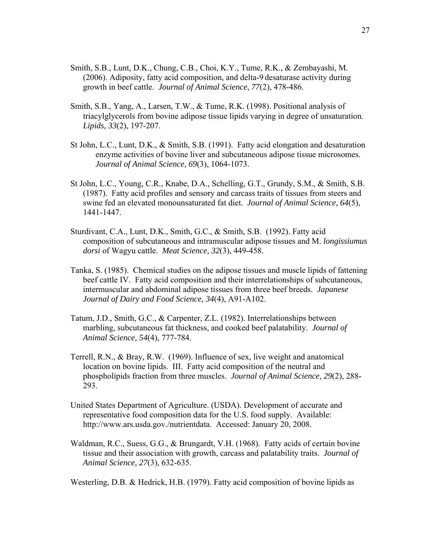- Smith, S.B., Lunt, D.K., Chung, C.B., Choi, K.Y., Tume, R.K., & Zembayashi, M. (2006). Adiposity, fatty acid composition, and delta-9 desaturase activity during growth in beef cattle. *Journal of Animal Science*, *77*(2), 478-486.
- Smith, S.B., Yang, A., Larsen, T.W., & Tume, R.K. (1998). Positional analysis of triacylglycerols from bovine adipose tissue lipids varying in degree of unsaturation. *Lipids, 33*(2), 197-207.
- St John, L.C., Lunt, D.K., & Smith, S.B. (1991). Fatty acid elongation and desaturation enzyme activities of bovine liver and subcutaneous adipose tissue microsomes. *Journal of Animal Science, 69*(3), 1064-1073.
- St John, L.C., Young, C.R., Knabe, D.A., Schelling, G.T., Grundy, S.M., & Smith, S.B. (1987). Fatty acid profiles and sensory and carcass traits of tissues from steers and swine fed an elevated monounsaturated fat diet. *Journal of Animal Science, 64*(5), 1441-1447.
- Sturdivant, C.A., Lunt, D.K., Smith, G.C., & Smith, S.B. (1992). Fatty acid composition of subcutaneous and intramuscular adipose tissues and M. *longissiumus dorsi* of Wagyu cattle. *Meat Science, 32*(3), 449-458.
- Tanka, S. (1985). Chemical studies on the adipose tissues and muscle lipids of fattening beef cattle IV. Fatty acid composition and their interrelationships of subcutaneous, intermuscular and abdominal adipose tissues from three beef breeds. *Japanese Journal of Dairy and Food Science, 34*(4), A91-A102.
- Tatum, J.D., Smith, G.C., & Carpenter, Z.L. (1982). Interrelationships between marbling, subcutaneous fat thickness, and cooked beef palatability. *Journal of Animal Science, 54*(4), 777-784.
- Terrell, R.N., & Bray, R.W. (1969). Influence of sex, live weight and anatomical location on bovine lipids. III. Fatty acid composition of the neutral and phospholipids fraction from three muscles. *Journal of Animal Science, 29*(2), 288- 293.
- United States Department of Agriculture. (USDA). Development of accurate and representative food composition data for the U.S. food supply. Available: http://www.ars.usda.gov./nutrientdata. Accessed: January 20, 2008.
- Waldman, R.C., Suess, G.G., & Brungardt, V.H. (1968). Fatty acids of certain bovine tissue and their association with growth, carcass and palatability traits. *Journal of Animal Science, 27*(3), 632-635.

Westerling, D.B. & Hedrick, H.B. (1979). Fatty acid composition of bovine lipids as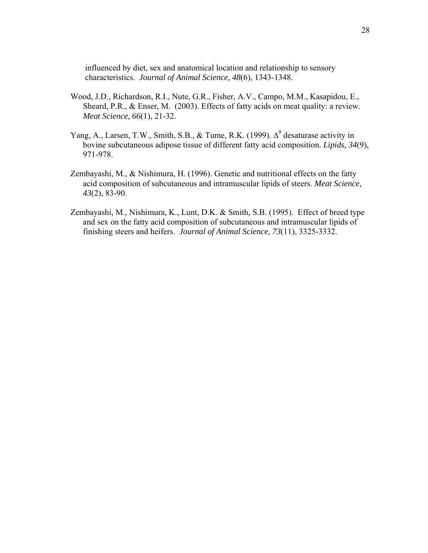influenced by diet, sex and anatomical location and relationship to sensory characteristics. *Journal of Animal Science, 48*(6), 1343-1348.

- Wood, J.D., Richardson, R.I., Nute, G.R., Fisher, A.V., Campo, M.M., Kasapidou, E., Sheard, P.R., & Enser, M. (2003). Effects of fatty acids on meat quality: a review. *Meat Science, 66*(1), 21-32.
- Yang, A., Larsen, T.W., Smith, S.B., & Tume, R.K. (1999).  $\Delta^9$  desaturase activity in bovine subcutaneous adipose tissue of different fatty acid composition. *Lipids, 34*(9), 971-978.
- Zembayashi, M., & Nishimura, H. (1996). Genetic and nutritional effects on the fatty acid composition of subcutaneous and intramuscular lipids of steers. *Meat Science, 43*(2), 83-90.
- Zembayashi, M., Nishimura, K., Lunt, D.K. & Smith, S.B. (1995). Effect of breed type and sex on the fatty acid composition of subcutaneous and intramuscular lipids of finishing steers and heifers. *Journal of Animal Science, 73*(11), 3325-3332.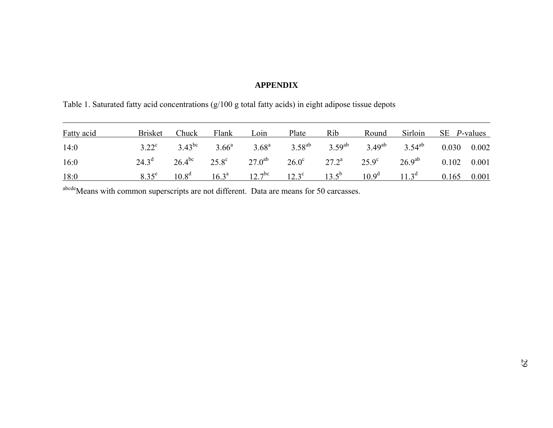#### **APPENDIX**

Table 1. Saturated fatty acid concentrations (g/100 g total fatty acids) in eight adipose tissue depots

| <b>Fatty acid</b> | <b>Brisket</b> | Chuck | Flank Loin | Plate | <b>Rib</b> | Round Sirloin SE <i>P</i> -values                                                                      |  |
|-------------------|----------------|-------|------------|-------|------------|--------------------------------------------------------------------------------------------------------|--|
| 14:0              |                |       |            |       |            | $3.22^c$ $3.43^{bc}$ $3.66^a$ $3.68^a$ $3.58^{ab}$ $3.59^{ab}$ $3.49^{ab}$ $3.54^{ab}$ $0.030$ $0.002$ |  |
| 16:0              |                |       |            |       |            | $24.3^d$ $26.4^{bc}$ $25.8^c$ $27.0^{ab}$ $26.0^c$ $27.2^a$ $25.9^c$ $26.9^{ab}$ $0.102$ $0.001$       |  |
| 18:0              | $8.35^e$       |       |            |       |            | $10.8^d$ $16.3^a$ $12.7^{bc}$ $12.3^c$ $13.5^b$ $10.9^d$ $11.3^d$ $0.165$ $0.001$                      |  |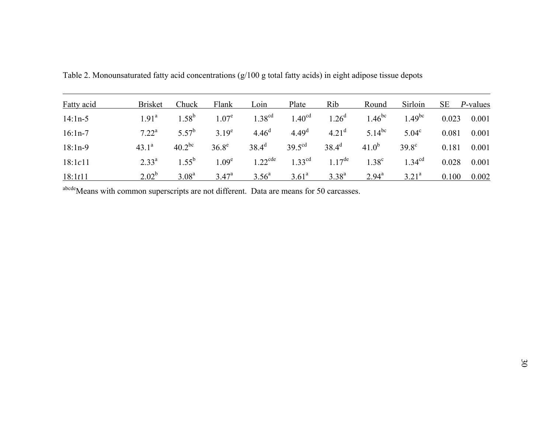| <b>Fatty acid</b> | <b>Brisket</b> | Chuck          | Flank             | Loin                  | Plate              | Rib                  | Round             | Sirloin           | <b>SE</b> | <i>P</i> -values |
|-------------------|----------------|----------------|-------------------|-----------------------|--------------------|----------------------|-------------------|-------------------|-----------|------------------|
| $14:1n-5$         | $1.91^a$       | $1.58^{b}$     | 1.07 <sup>e</sup> | 1.38 <sup>cd</sup>    | 1.40 <sup>cd</sup> | $1.26^d$             | $1.46^{\rm bc}$   | $1.49^{bc}$       | 0.023     | 0.001            |
| $16:1n-7$         | $7.22^a$       | $5.57^{b}$     | $3.19^e$          | 4.46 <sup>d</sup>     | 4.49 <sup>d</sup>  | 4.21 <sup>d</sup>    | $5.14^{bc}$       | $5.04^{\circ}$    | 0.081     | 0.001            |
| $18:1n-9$         | $43.1^a$       | $40.2^{bc}$    | $36.8^e$          | $38.4^d$              | $39.5^{\text{cd}}$ | $38.4^{d}$           | $41.0^{b}$        | $39.8^\circ$      | 0.181     | 0.001            |
| 18:1c11           | $2.33^{a}$     | $1.55^{b}$     | 1.09 <sup>e</sup> | $1.22$ <sup>cde</sup> | 1 33 $^{cd}$       | $1.17$ <sup>de</sup> | 1.38 <sup>c</sup> | $1.34^{cd}$       | 0.028     | 0.001            |
| 18:1t11           | $2.02^{b}$     | $3.08^{\rm a}$ | $3.47^{\rm a}$    | $3.56^{\circ}$        | $3.61^a$           | $3.38^{a}$           | $2.94^{\rm a}$    | 3.21 <sup>a</sup> | 0.100     | 0.002            |

Table 2. Monounsaturated fatty acid concentrations (g/100 g total fatty acids) in eight adipose tissue depots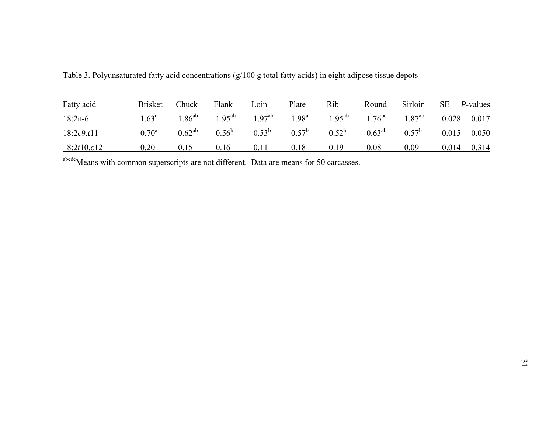| <b>Fatty acid</b> | <b>Brisket</b> | Chuck | Flank                   | Loin           | Plate      | Rib                     | Round       | Sirloin        | <b>SE</b> | <i>P</i> -values |
|-------------------|----------------|-------|-------------------------|----------------|------------|-------------------------|-------------|----------------|-----------|------------------|
| $18:2n-6$         | $1.63^{\circ}$ |       | $1.86^{ab}$ $1.95^{ab}$ | $1.97^{ab}$    | $1.98^{a}$ | $1.95^{ab}$ $1.76^{bc}$ |             | $1.87^{ab}$    |           | 0.028 0.017      |
| 18:2c9,t11        | $0.70^{\rm a}$ |       | $0.62^{ab}$ $0.56^b$    | $0.53^{\rm b}$ | $0.57^b$   | $0.52^{\rm b}$          | $0.63^{ab}$ | $0.57^{\rm b}$ |           | $0.015$ 0.050    |
| 18:2t10,c12       | 0.20           | 0.15  | 0.16                    | 0.11           | 0.18       | 0.19                    | 0.08        | 0.09           | 0.014     | 0.314            |

Table 3. Polyunsaturated fatty acid concentrations (g/100 g total fatty acids) in eight adipose tissue depots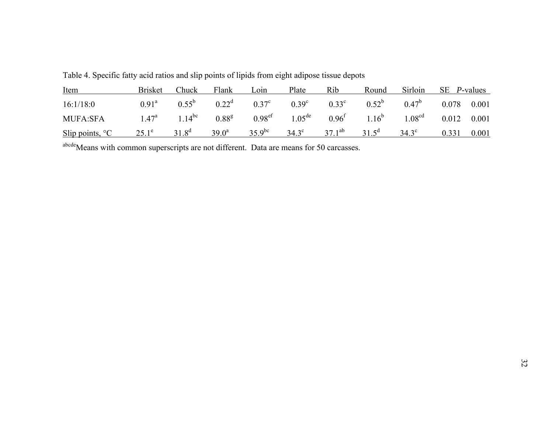| Item                      | Brisket        | Chuck      | Flank | Loin                       | Plate | Rib | Round                                                                                                         | Sirloin | SE <i>P</i> -values |       |
|---------------------------|----------------|------------|-------|----------------------------|-------|-----|---------------------------------------------------------------------------------------------------------------|---------|---------------------|-------|
| 16:1/18:0                 | $0.91^{\rm a}$ |            |       | $0.55^b$ $0.22^d$ $0.37^c$ |       |     | $0.39^c$ $0.33^c$ $0.52^b$ $0.47^b$                                                                           |         | 0.078 0.001         |       |
| <b>MUFA:SFA</b>           |                |            |       |                            |       |     | $1.47^a$ $1.14^{bc}$ $0.88^g$ $0.98^{ef}$ $1.05^{de}$ $0.96^f$ $1.16^b$ $1.08^{cd}$ $0.012$ $0.001$           |         |                     |       |
| Slip points, $^{\circ}$ C | $25.1^e$       | $31.8^{d}$ |       |                            |       |     | 39.0 <sup>a</sup> 35.9 <sup>bc</sup> 34.3 <sup>c</sup> 37.1 <sup>ab</sup> 31.5 <sup>d</sup> 34.3 <sup>c</sup> |         | 0.331               | 0.001 |

Table 4. Specific fatty acid ratios and slip points of lipids from eight adipose tissue depots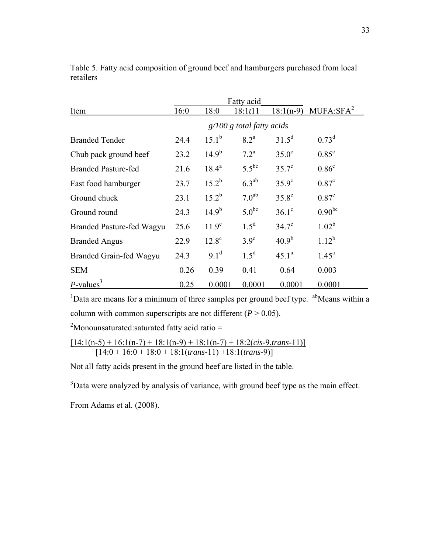|                            |      |                | Fatty acid                  |                |                                 |
|----------------------------|------|----------------|-----------------------------|----------------|---------------------------------|
| Item                       | 16:0 | 18:0           | 18:1t11                     |                | 18:1(n-9) MUFA:SFA <sup>2</sup> |
|                            |      |                | $g/100 g$ total fatty acids |                |                                 |
| <b>Branded Tender</b>      | 24.4 | $15.1^b$       | 8.2 <sup>a</sup>            | $31.5^d$       | $0.73^d$                        |
| Chub pack ground beef      | 23.2 | $14.9^{b}$     | $7.2^{\mathrm{a}}$          | $35.0^\circ$   | $0.85^{\circ}$                  |
| <b>Branded Pasture-fed</b> | 21.6 | $18.4^{\rm a}$ | $5.5^{bc}$                  | $35.7^{\circ}$ | 0.86 <sup>c</sup>               |
| Fast food hamburger        | 23.7 | $15.2^{b}$     | $6.3^{ab}$                  | $35.9^\circ$   | 0.87 <sup>c</sup>               |
| Ground chuck               | 23.1 | $15.2^{b}$     | 7.0 <sup>ab</sup>           | $35.8^{\circ}$ | 0.87 <sup>c</sup>               |
| Ground round               | 24.3 | $14.9^{b}$     | $5.0^{bc}$                  | $36.1^\circ$   | $0.90^{bc}$                     |
| Branded Pasture-fed Wagyu  | 25.6 | $11.9^{\circ}$ | $1.5^d$                     | $34.7^{\circ}$ | $1.02^b$                        |
| <b>Branded Angus</b>       | 22.9 | $12.8^\circ$   | $3.9^\circ$                 | $40.9^{b}$     | $1.12^{b}$                      |
| Branded Grain-fed Wagyu    | 24.3 | $9.1^d$        | $1.5^d$                     | $45.1^a$       | $1.45^{\circ}$                  |
| <b>SEM</b>                 | 0.26 | 0.39           | 0.41                        | 0.64           | 0.003                           |
| $P$ -values <sup>3</sup>   | 0.25 | 0.0001         | 0.0001                      | 0.0001         | 0.0001                          |

Table 5. Fatty acid composition of ground beef and hamburgers purchased from local retailers

<sup>1</sup>Data are means for a minimum of three samples per ground beef type.  $a^b$ Means within a column with common superscripts are not different  $(P > 0.05)$ .

<sup>2</sup>Monounsaturated: saturated fatty acid ratio =

 $[14:1(n-5) + 16:1(n-7) + 18:1(n-9) + 18:1(n-7) + 18:2(cis-9, trans-11)]$ [14:0 + 16:0 + 18:0 + 18:1(*trans-*11) +18:1(*trans-*9)]

Not all fatty acids present in the ground beef are listed in the table.

 $3$ Data were analyzed by analysis of variance, with ground beef type as the main effect.

From Adams et al. (2008).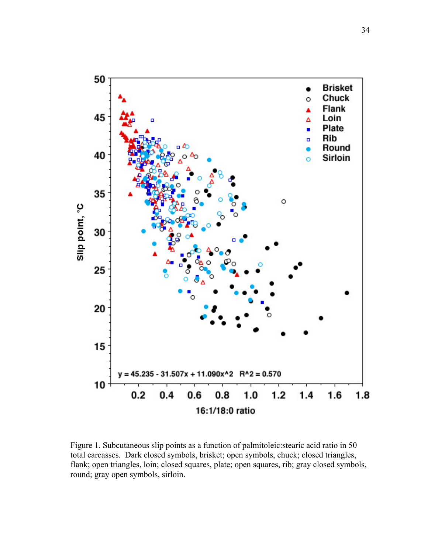

Figure 1. Subcutaneous slip points as a function of palmitoleic:stearic acid ratio in 50 total carcasses. Dark closed symbols, brisket; open symbols, chuck; closed triangles, flank; open triangles, loin; closed squares, plate; open squares, rib; gray closed symbols, round; gray open symbols, sirloin.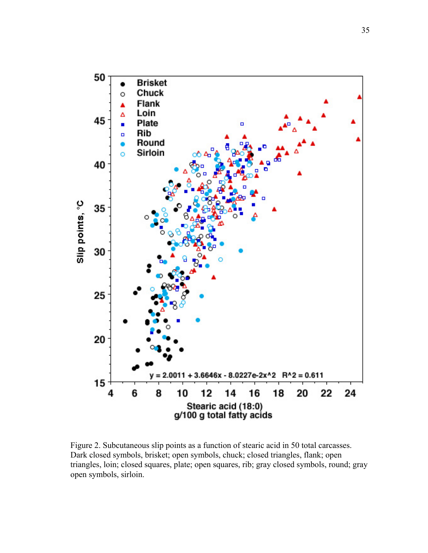

Figure 2. Subcutaneous slip points as a function of stearic acid in 50 total carcasses. Dark closed symbols, brisket; open symbols, chuck; closed triangles, flank; open triangles, loin; closed squares, plate; open squares, rib; gray closed symbols, round; gray open symbols, sirloin.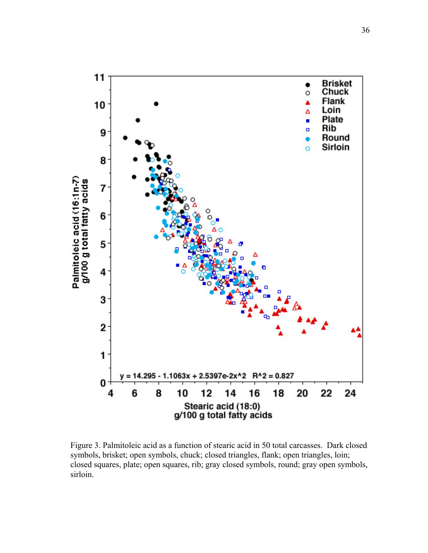

Figure 3. Palmitoleic acid as a function of stearic acid in 50 total carcasses. Dark closed symbols, brisket; open symbols, chuck; closed triangles, flank; open triangles, loin; closed squares, plate; open squares, rib; gray closed symbols, round; gray open symbols, sirloin.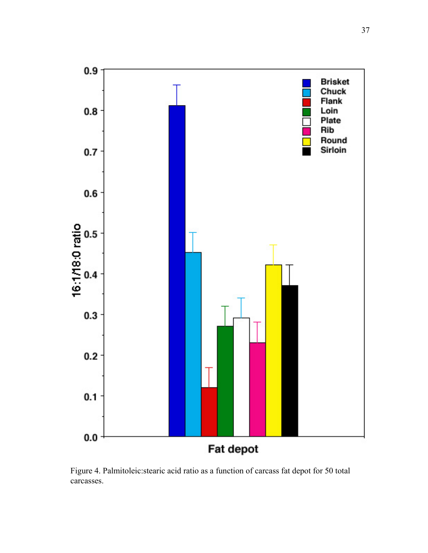

Figure 4. Palmitoleic:stearic acid ratio as a function of carcass fat depot for 50 total carcasses.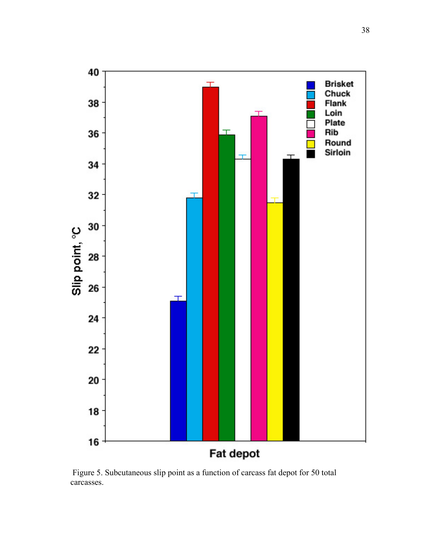

 Figure 5. Subcutaneous slip point as a function of carcass fat depot for 50 total carcasses.